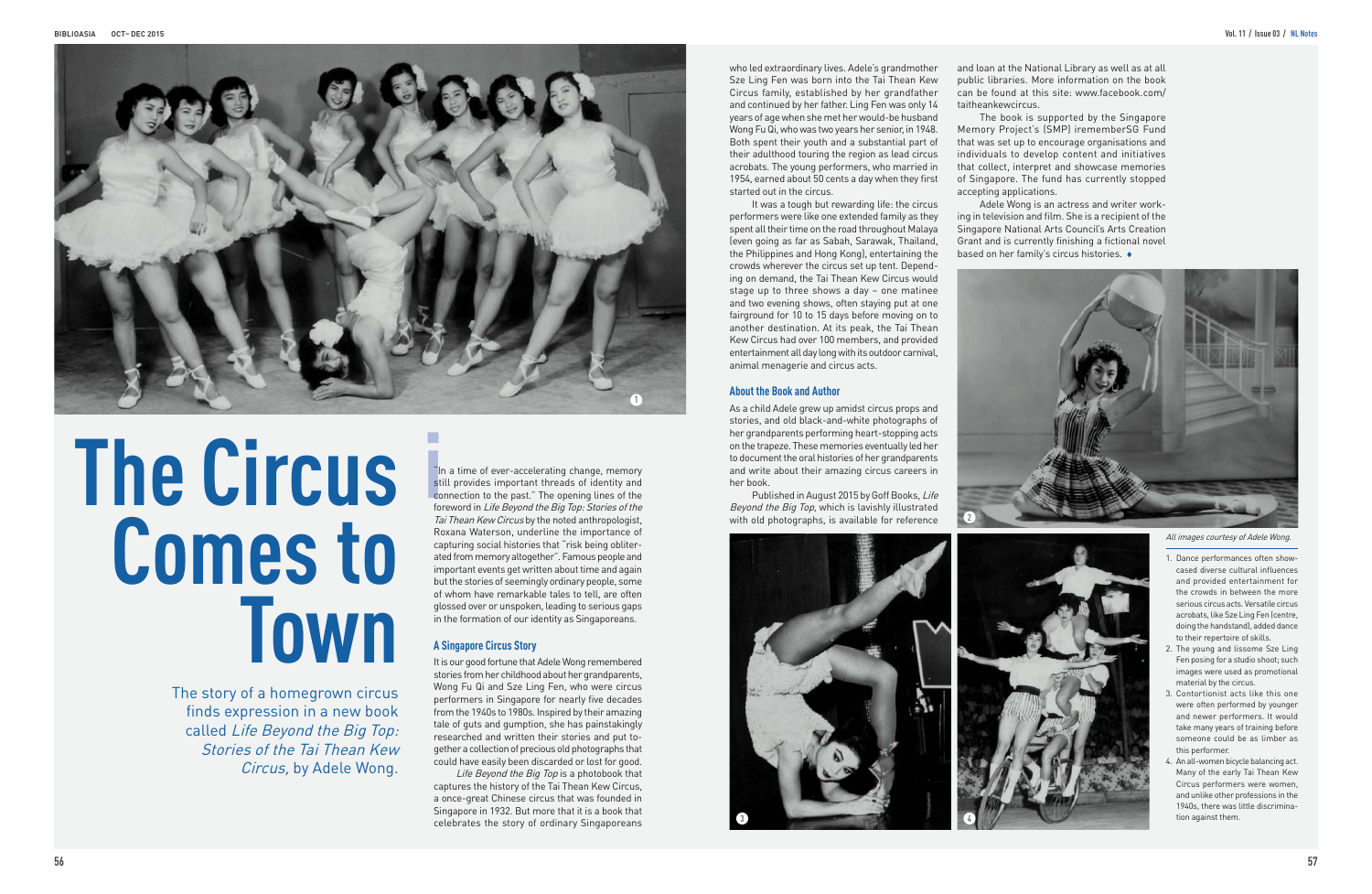## **The Circus Comes to Town**

The story of a homegrown circus finds expression in a new book called Life Beyond the Big Top: Stories of the Tai Thean Kew Circus, by Adele Wong.

**i**<br>**i**<br>**i**<br>**i**<br>**i**<br>**co**<br>fol "In a time of ever-accelerating change, memory still provides important threads of identity and connection to the past." The opening lines of the foreword in Life Beyond the Big Top: Stories of the Tai Thean Kew Circus by the noted anthropologist, Roxana Waterson, underline the importance of capturing social histories that "risk being obliterated from memory altogether". Famous people and important events get written about time and again but the stories of seemingly ordinary people, some of whom have remarkable tales to tell, are often glossed over or unspoken, leading to serious gaps in the formation of our identity as Singaporeans.

Life Beyond the Big Top is a photobook that captures the history of the Tai Thean Kew Circus, a once-great Chinese circus that was founded in Singapore in 1932. But more that it is a book that celebrates the story of ordinary Singaporeans

## **A Singapore Circus Story**

It is our good fortune that Adele Wong remembered stories from her childhood about her grandparents, Wong Fu Qi and Sze Ling Fen, who were circus performers in Singapore for nearly five decades from the 1940s to 1980s. Inspired by their amazing tale of guts and gumption, she has painstakingly researched and written their stories and put together a collection of precious old photographs that could have easily been discarded or lost for good.

who led extraordinary lives. Adele's grandmother Sze Ling Fen was born into the Tai Thean Kew Circus family, established by her grandfather and continued by her father. Ling Fen was only 14 years of age when she met her would-be husband Wong Fu Qi, who was two years her senior, in 1948. Both spent their youth and a substantial part of their adulthood touring the region as lead circus acrobats. The young performers, who married in 1954, earned about 50 cents a day when they first started out in the circus.

> Adele Wong is an actress and writer working in television and film. She is a recipient of the Singapore National Arts Council's Arts Creation Grant and is currently finishing a fictional novel based on her family's circus histories.  $\bullet$



It was a tough but rewarding life: the circus performers were like one extended family as they spent all their time on the road throughout Malaya (even going as far as Sabah, Sarawak, Thailand, the Philippines and Hong Kong), entertaining the crowds wherever the circus set up tent. Depending on demand, the Tai Thean Kew Circus would stage up to three shows a day – one matinee and two evening shows, often staying put at one fairground for 10 to 15 days before moving on to another destination. At its peak, the Tai Thean Kew Circus had over 100 members, and provided entertainment all day long with its outdoor carnival, animal menagerie and circus acts.

## **About the Book and Author**

As a child Adele grew up amidst circus props and stories, and old black-and-white photographs of her grandparents performing heart-stopping acts on the trapeze. These memories eventually led her to document the oral histories of her grandparents and write about their amazing circus careers in her book.

Published in August 2015 by Goff Books, Life Beyond the Big Top, which is lavishly illustrated with old photographs, is available for reference





and loan at the National Library as well as at all public libraries. More information on the book can be found at this site: www.facebook.com/

The book is supported by the Singapore Memory Project's (SMP) irememberSG Fund that was set up to encourage organisations and individuals to develop content and initiatives that collect, interpret and showcase memories of Singapore. The fund has currently stopped

accepting applications.

**2**

- 1. Dance performances often showcased diverse cultural influences and provided entertainment for the crowds in between the more serious circus acts. Versatile circus acrobats, like Sze Ling Fen (centre, doing the handstand), added dance to their repertoire of skills.
- 2. The young and lissome Sze Ling Fen posing for a studio shoot; such images were used as promotional material by the circus.
- 3. Contortionist acts like this one were often performed by younger and newer performers. It would take many years of training before someone could be as limber as this performer.
- 4. An all-women bicycle balancing act. Many of the early Tai Thean Kew Circus performers were women, and unlike other professions in the 1940s, there was little discrimination against them.



All images courtesy of Adele Wong.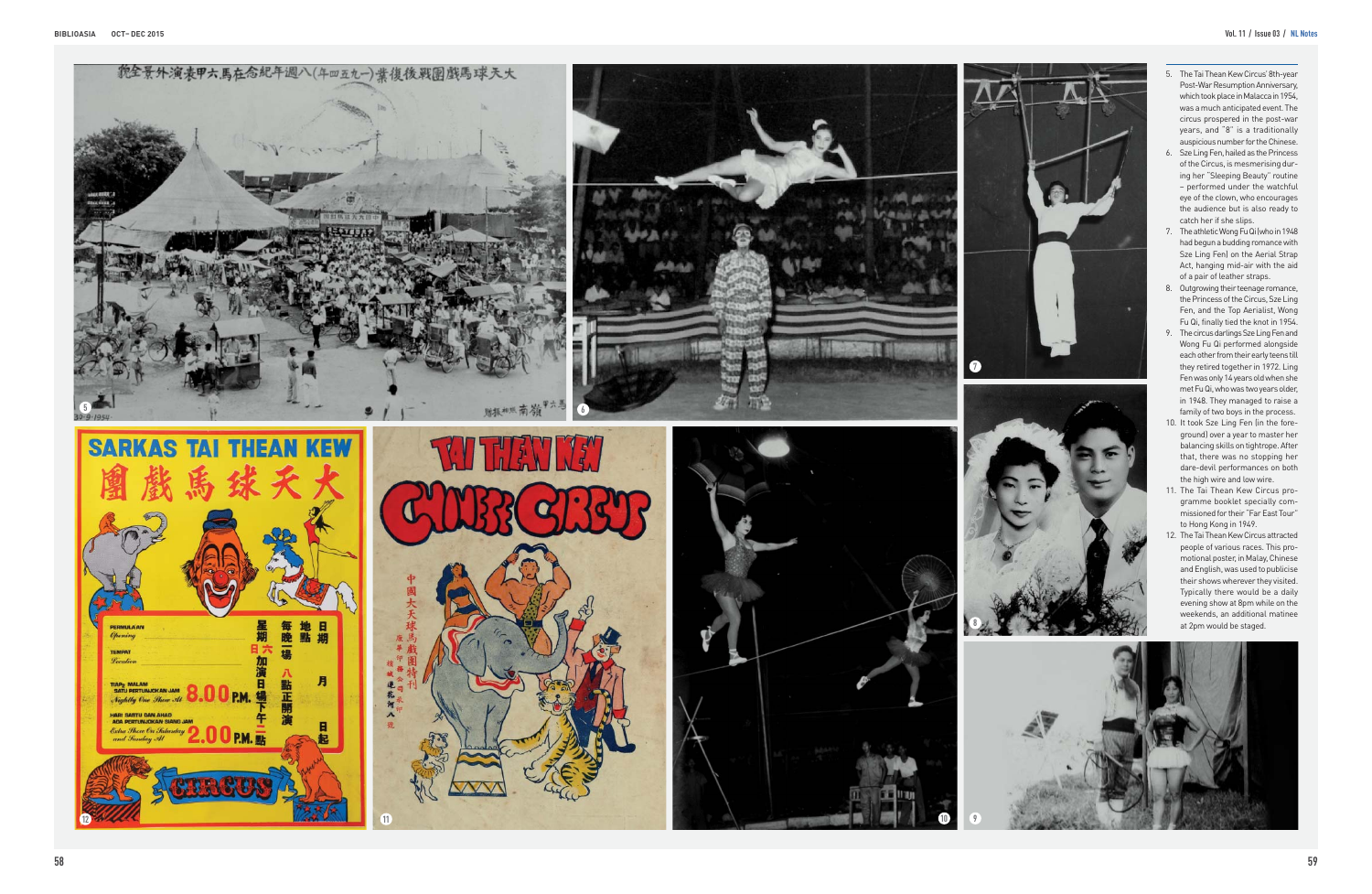

- 
- 
- 
- 
- 
- 
- 
-